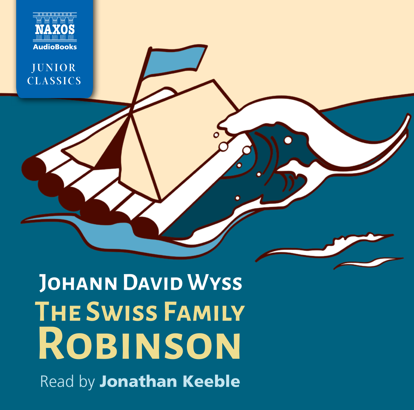

Read by **Jonathan Keeble The Swiss Family Robinson JOHANN DAVID WYSS**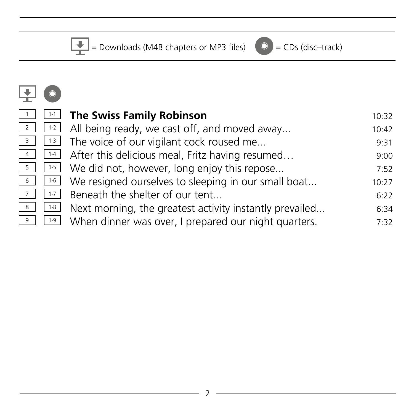$\begin{array}{|c|c|c|c|}\n\hline\n\hline\n\end{array}$  = Downloads (M4B chapters or MP3 files)  $\begin{array}{|c|c|}\n\hline\n\end{array}$  = CDs (disc–track)

| 1              | $1 - 1$ |
|----------------|---------|
| $\overline{2}$ | $1 - 2$ |
| 3              | $1-3$   |
| $\overline{a}$ | $1 - 4$ |
| 5              | $1-5$   |
| 6              | $1 - 6$ |
| 7              | $1 - 7$ |
| 8              | $1 - 8$ |
| 9              | $1 - 9$ |

|       |                                                         | 10:32                                                                                                                                                                                                                                                                                                                                                                                                                              |
|-------|---------------------------------------------------------|------------------------------------------------------------------------------------------------------------------------------------------------------------------------------------------------------------------------------------------------------------------------------------------------------------------------------------------------------------------------------------------------------------------------------------|
|       |                                                         | 10:42                                                                                                                                                                                                                                                                                                                                                                                                                              |
|       |                                                         | 9:31                                                                                                                                                                                                                                                                                                                                                                                                                               |
|       |                                                         | 9:00                                                                                                                                                                                                                                                                                                                                                                                                                               |
|       |                                                         | 7:52                                                                                                                                                                                                                                                                                                                                                                                                                               |
|       |                                                         | 10:27                                                                                                                                                                                                                                                                                                                                                                                                                              |
|       | Beneath the shelter of our tent                         | 6:22                                                                                                                                                                                                                                                                                                                                                                                                                               |
| $1-8$ | Next morning, the greatest activity instantly prevailed | 6:34                                                                                                                                                                                                                                                                                                                                                                                                                               |
| $1-9$ | When dinner was over, I prepared our night quarters.    | 7:32                                                                                                                                                                                                                                                                                                                                                                                                                               |
|       | $7 \t1.7$                                               | <b>The Swiss Family Robinson</b><br>$\frac{1}{2}$ 1.2 All being ready, we cast off, and moved away<br>$\frac{3}{1}$ $\frac{1}{3}$ The voice of our vigilant cock roused me<br>$\frac{4}{10}$ $\left[ \frac{14}{4} \right]$ After this delicious meal, Fritz having resumed<br>$\frac{5}{10}$ $\frac{1}{5}$ We did not, however, long enjoy this repose<br>$6 \mid 1.6 \mid$<br>We resigned ourselves to sleeping in our small boat |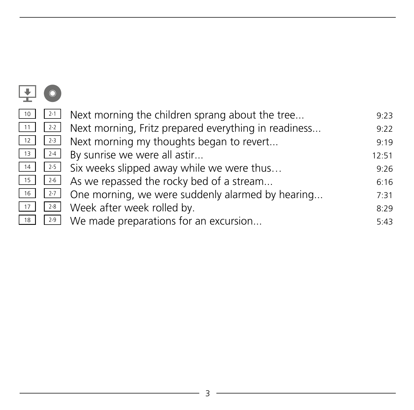| 10 | $2 - 1$ | Next morning the children sprang about the tree      | 9:23  |
|----|---------|------------------------------------------------------|-------|
| 11 | $2 - 2$ | Next morning, Fritz prepared everything in readiness | 9:22  |
| 12 | $2-3$   | Next morning my thoughts began to revert             | 9:19  |
| 13 | $2 - 4$ | By sunrise we were all astir                         | 12:51 |
| 14 | $2 - 5$ | Six weeks slipped away while we were thus            | 9:26  |
| 15 | $2 - 6$ | As we repassed the rocky bed of a stream             | 6:16  |
| 16 | $2 - 7$ | One morning, we were suddenly alarmed by hearing     | 7:31  |
| 17 | $2 - 8$ | Week after week rolled by.                           | 8:29  |
| 18 | $2 - 9$ | We made preparations for an excursion                | 5:43  |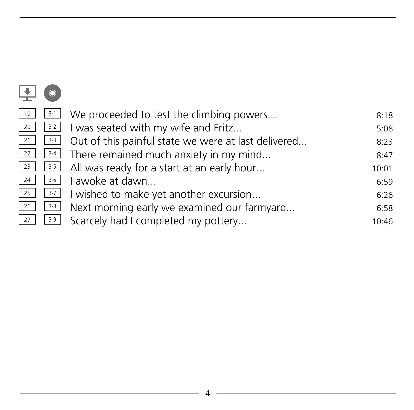| 19 | $3-1$   | We proceeded to test the climbing powers            | 8:18  |
|----|---------|-----------------------------------------------------|-------|
| 20 | $3-2$   | I was seated with my wife and Fritz                 | 5:08  |
| 21 | $3-3$   | Out of this painful state we were at last delivered | 8:23  |
| 22 | $3-4$   | There remained much anxiety in my mind              | 8:47  |
| 23 | $3-5$   | All was ready for a start at an early hour          | 10:01 |
| 24 | $3 - 6$ | I awoke at dawn                                     | 6:59  |
| 25 | $3-7$   | I wished to make yet another excursion              | 6:26  |
| 26 | $3-8$   | Next morning early we examined our farmyard         | 6:58  |
| 27 | $3-9$   | Scarcely had I completed my pottery                 | 10:46 |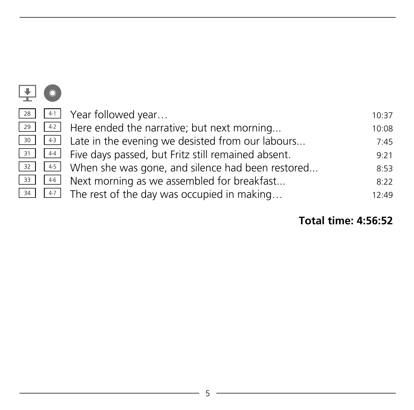| 28 | 4.1               | Year followed year                                              | 10:37 |
|----|-------------------|-----------------------------------------------------------------|-------|
| 29 |                   | $\lfloor 42 \rfloor$ Here ended the narrative; but next morning | 10:08 |
| 30 | $\vert 4-3 \vert$ | Late in the evening we desisted from our labours                | 7:45  |
| 31 | $4-4$             | Five days passed, but Fritz still remained absent.              | 9:21  |
| 32 | $4-5$             | When she was gone, and silence had been restored                | 8:53  |
| 33 | $4-6$             | Next morning as we assembled for breakfast                      | 8:22  |
| 34 | $4-7$             | The rest of the day was occupied in making                      | 12:49 |

### **Total time: 4:56:52**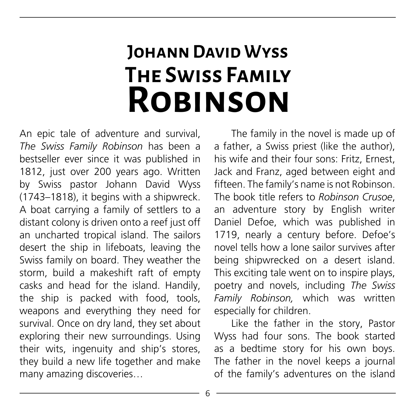# **The Swiss Family Robinson Johann David Wyss**

An epic tale of adventure and survival, *The Swiss Family Robinson* has been a bestseller ever since it was published in 1812, just over 200 years ago. Written by Swiss pastor Johann David Wyss (1743–1818), it begins with a shipwreck. A boat carrying a family of settlers to a distant colony is driven onto a reef just off an uncharted tropical island. The sailors desert the ship in lifeboats, leaving the Swiss family on board. They weather the storm, build a makeshift raft of empty casks and head for the island. Handily, the ship is packed with food, tools, weapons and everything they need for survival. Once on dry land, they set about exploring their new surroundings. Using their wits, ingenuity and ship's stores, they build a new life together and make many amazing discoveries…

The family in the novel is made up of a father, a Swiss priest (like the author), his wife and their four sons: Fritz, Ernest, Jack and Franz, aged between eight and fifteen. The family's name is not Robinson. The book title refers to *Robinson Crusoe*, an adventure story by English writer Daniel Defoe, which was published in 1719, nearly a century before. Defoe's novel tells how a lone sailor survives after being shipwrecked on a desert island. This exciting tale went on to inspire plays, poetry and novels, including *The Swiss Family Robinson,* which was written especially for children.

Like the father in the story, Pastor Wyss had four sons. The book started as a bedtime story for his own boys. The father in the novel keeps a journal of the family's adventures on the island

6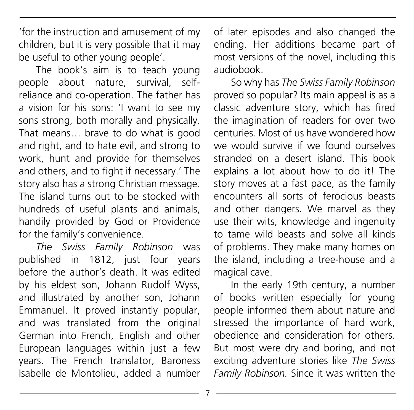'for the instruction and amusement of my children, but it is very possible that it may be useful to other young people'.

The book's aim is to teach young people about nature, survival, selfreliance and co-operation. The father has a vision for his sons: 'I want to see my sons strong, both morally and physically. That means… brave to do what is good and right, and to hate evil, and strong to work, hunt and provide for themselves and others, and to fight if necessary.' The story also has a strong Christian message. The island turns out to be stocked with hundreds of useful plants and animals, handily provided by God or Providence for the family's convenience.

*The Swiss Family Robinson* was published in 1812, just four years before the author's death. It was edited by his eldest son, Johann Rudolf Wyss, and illustrated by another son, Johann Emmanuel. It proved instantly popular, and was translated from the original German into French, English and other European languages within just a few years. The French translator, Baroness Isabelle de Montolieu, added a number

of later episodes and also changed the ending. Her additions became part of most versions of the novel, including this audiobook.

So why has *The Swiss Family Robinson*  proved so popular? Its main appeal is as a classic adventure story, which has fired the imagination of readers for over two centuries. Most of us have wondered how we would survive if we found ourselves stranded on a desert island. This book explains a lot about how to do it! The story moves at a fast pace, as the family encounters all sorts of ferocious beasts and other dangers. We marvel as they use their wits, knowledge and ingenuity to tame wild beasts and solve all kinds of problems. They make many homes on the island, including a tree-house and a magical cave.

In the early 19th century, a number of books written especially for young people informed them about nature and stressed the importance of hard work, obedience and consideration for others. But most were dry and boring, and not exciting adventure stories like *The Swiss Family Robinson.* Since it was written the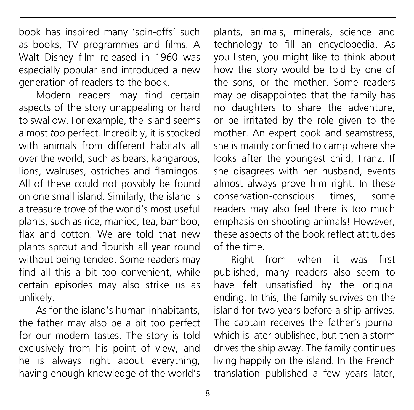book has inspired many 'spin-offs' such as books, TV programmes and films. A Walt Disney film released in 1960 was especially popular and introduced a new generation of readers to the book.

Modern readers may find certain aspects of the story unappealing or hard to swallow. For example, the island seems almost *too* perfect. Incredibly, it is stocked with animals from different habitats all over the world, such as bears, kangaroos, lions, walruses, ostriches and flamingos. All of these could not possibly be found on one small island. Similarly, the island is a treasure trove of the world's most useful plants, such as rice, manioc, tea, bamboo, flax and cotton. We are told that new plants sprout and flourish all year round without being tended. Some readers may find all this a bit too convenient, while certain episodes may also strike us as unlikely.

As for the island's human inhabitants, the father may also be a bit too perfect for our modern tastes. The story is told exclusively from his point of view, and he is always right about everything, having enough knowledge of the world's plants, animals, minerals, science and technology to fill an encyclopedia. As you listen, you might like to think about how the story would be told by one of the sons, or the mother. Some readers may be disappointed that the family has no daughters to share the adventure, or be irritated by the role given to the mother. An expert cook and seamstress, she is mainly confined to camp where she looks after the youngest child, Franz. If she disagrees with her husband, events almost always prove him right. In these conservation-conscious times, some readers may also feel there is too much emphasis on shooting animals! However, these aspects of the book reflect attitudes of the time.

Right from when it was first published, many readers also seem to have felt unsatisfied by the original ending. In this, the family survives on the island for two years before a ship arrives. The captain receives the father's journal which is later published, but then a storm drives the ship away. The family continues living happily on the island. In the French translation published a few years later,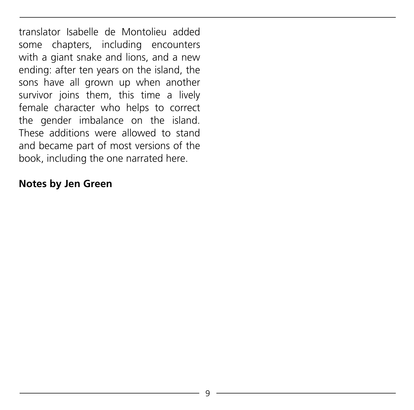translator Isabelle de Montolieu added some chapters, including encounters with a giant snake and lions, and a new ending: after ten years on the island, the sons have all grown up when another survivor joins them, this time a lively female character who helps to correct the gender imbalance on the island. These additions were allowed to stand and became part of most versions of the book, including the one narrated here.

#### **Notes by Jen Green**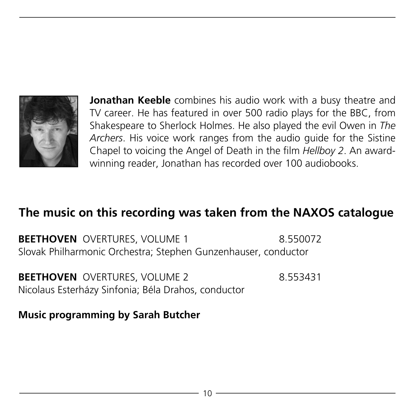

**Jonathan Keeble** combines his audio work with a busy theatre and TV career. He has featured in over 500 radio plays for the BBC, from Shakespeare to Sherlock Holmes. He also played the evil Owen in *The Archers*. His voice work ranges from the audio guide for the Sistine Chapel to voicing the Angel of Death in the film *Hellboy 2*. An awardwinning reader, Jonathan has recorded over 100 audiobooks.

#### **The music on this recording was taken from the NAXOS catalogue**

**BEETHOVEN** OVERTURES, VOLUME 1 8.550072 Slovak Philharmonic Orchestra; Stephen Gunzenhauser, conductor

**BEETHOVEN** OVERTURES, VOLUME 2 8.553431 Nicolaus Esterházy Sinfonia; Béla Drahos, conductor

**Music programming by Sarah Butcher**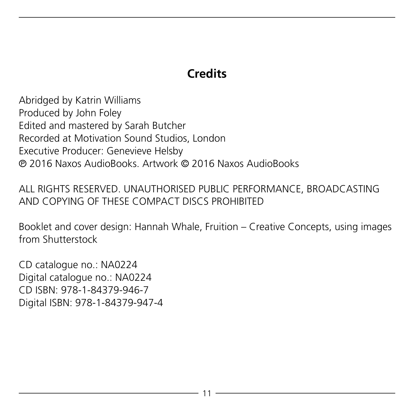#### **Credits**

Abridged by Katrin Williams Produced by John Foley Edited and mastered by Sarah Butcher Recorded at Motivation Sound Studios, London Executive Producer: Genevieve Helsby p 2016 Naxos AudioBooks. Artwork c 2016 Naxos AudioBooks

ALL RIGHTS RESERVED. UNAUTHORISED PUBLIC PERFORMANCE, BROADCASTING AND COPYING OF THESE COMPACT DISCS PROHIBITED

Booklet and cover design: Hannah Whale, Fruition – Creative Concepts, using images from Shutterstock

CD catalogue no.: NA0224 Digital catalogue no.: NA0224 CD ISBN: 978-1-84379-946-7 Digital ISBN: 978-1-84379-947-4